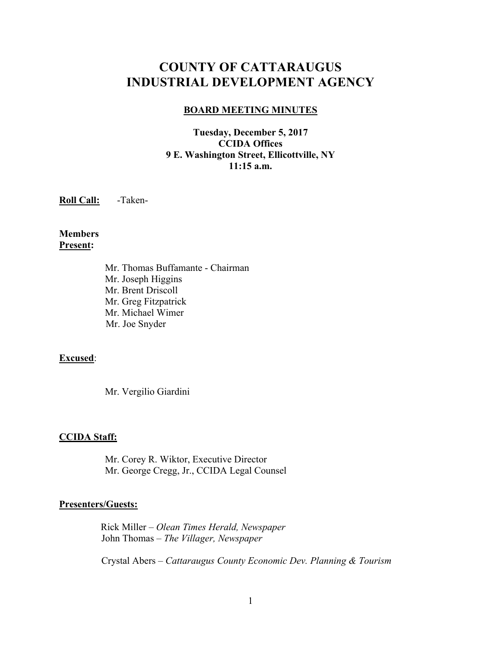# **COUNTY OF CATTARAUGUS INDUSTRIAL DEVELOPMENT AGENCY**

#### **BOARD MEETING MINUTES**

#### **Tuesday, December 5, 2017 CCIDA Offices 9 E. Washington Street, Ellicottville, NY 11:15 a.m.**

**Roll Call:** -Taken-

**Members Present:**

> Mr. Thomas Buffamante - Chairman Mr. Joseph Higgins Mr. Brent Driscoll Mr. Greg Fitzpatrick Mr. Michael Wimer Mr. Joe Snyder

#### **Excused**:

Mr. Vergilio Giardini

#### **CCIDA Staff:**

Mr. Corey R. Wiktor, Executive Director Mr. George Cregg, Jr., CCIDA Legal Counsel

#### **Presenters/Guests:**

 Rick Miller – *Olean Times Herald, Newspaper* John Thomas – *The Villager, Newspaper*

Crystal Abers – *Cattaraugus County Economic Dev. Planning & Tourism*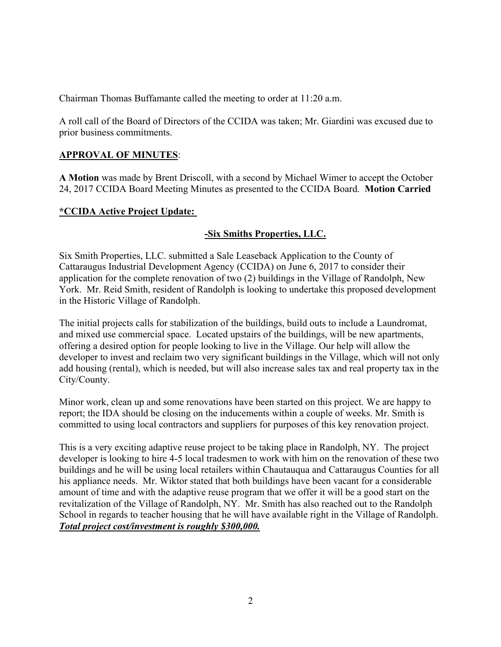Chairman Thomas Buffamante called the meeting to order at 11:20 a.m.

A roll call of the Board of Directors of the CCIDA was taken; Mr. Giardini was excused due to prior business commitments.

### **APPROVAL OF MINUTES**:

**A Motion** was made by Brent Driscoll, with a second by Michael Wimer to accept the October 24, 2017 CCIDA Board Meeting Minutes as presented to the CCIDA Board. **Motion Carried**

# **\*CCIDA Active Project Update:**

# **-Six Smiths Properties, LLC.**

Six Smith Properties, LLC. submitted a Sale Leaseback Application to the County of Cattaraugus Industrial Development Agency (CCIDA) on June 6, 2017 to consider their application for the complete renovation of two (2) buildings in the Village of Randolph, New York. Mr. Reid Smith, resident of Randolph is looking to undertake this proposed development in the Historic Village of Randolph.

The initial projects calls for stabilization of the buildings, build outs to include a Laundromat, and mixed use commercial space. Located upstairs of the buildings, will be new apartments, offering a desired option for people looking to live in the Village. Our help will allow the developer to invest and reclaim two very significant buildings in the Village, which will not only add housing (rental), which is needed, but will also increase sales tax and real property tax in the City/County.

Minor work, clean up and some renovations have been started on this project. We are happy to report; the IDA should be closing on the inducements within a couple of weeks. Mr. Smith is committed to using local contractors and suppliers for purposes of this key renovation project.

This is a very exciting adaptive reuse project to be taking place in Randolph, NY. The project developer is looking to hire 4-5 local tradesmen to work with him on the renovation of these two buildings and he will be using local retailers within Chautauqua and Cattaraugus Counties for all his appliance needs. Mr. Wiktor stated that both buildings have been vacant for a considerable amount of time and with the adaptive reuse program that we offer it will be a good start on the revitalization of the Village of Randolph, NY. Mr. Smith has also reached out to the Randolph School in regards to teacher housing that he will have available right in the Village of Randolph. *Total project cost/investment is roughly \$300,000.*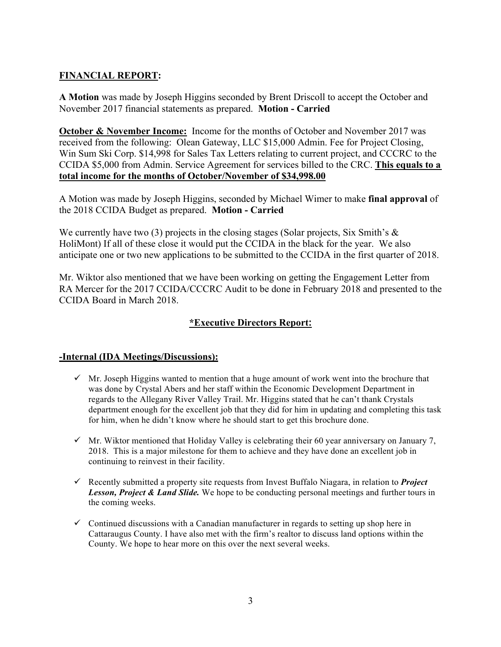### **FINANCIAL REPORT:**

**A Motion** was made by Joseph Higgins seconded by Brent Driscoll to accept the October and November 2017 financial statements as prepared. **Motion - Carried**

**October & November Income:** Income for the months of October and November 2017 was received from the following: Olean Gateway, LLC \$15,000 Admin. Fee for Project Closing, Win Sum Ski Corp. \$14,998 for Sales Tax Letters relating to current project, and CCCRC to the CCIDA \$5,000 from Admin. Service Agreement for services billed to the CRC. **This equals to a total income for the months of October/November of \$34,998.00**

A Motion was made by Joseph Higgins, seconded by Michael Wimer to make **final approval** of the 2018 CCIDA Budget as prepared. **Motion - Carried**

We currently have two (3) projects in the closing stages (Solar projects, Six Smith's  $\&$ HoliMont) If all of these close it would put the CCIDA in the black for the year. We also anticipate one or two new applications to be submitted to the CCIDA in the first quarter of 2018.

Mr. Wiktor also mentioned that we have been working on getting the Engagement Letter from RA Mercer for the 2017 CCIDA/CCCRC Audit to be done in February 2018 and presented to the CCIDA Board in March 2018.

### **\*Executive Directors Report:**

### **-Internal (IDA Meetings/Discussions):**

- $\checkmark$  Mr. Joseph Higgins wanted to mention that a huge amount of work went into the brochure that was done by Crystal Abers and her staff within the Economic Development Department in regards to the Allegany River Valley Trail. Mr. Higgins stated that he can't thank Crystals department enough for the excellent job that they did for him in updating and completing this task for him, when he didn't know where he should start to get this brochure done.
- $\checkmark$  Mr. Wiktor mentioned that Holiday Valley is celebrating their 60 year anniversary on January 7, 2018. This is a major milestone for them to achieve and they have done an excellent job in continuing to reinvest in their facility.
- ! Recently submitted a property site requests from Invest Buffalo Niagara, in relation to *Project Lesson, Project & Land Slide.* We hope to be conducting personal meetings and further tours in the coming weeks.
- $\checkmark$  Continued discussions with a Canadian manufacturer in regards to setting up shop here in Cattaraugus County. I have also met with the firm's realtor to discuss land options within the County. We hope to hear more on this over the next several weeks.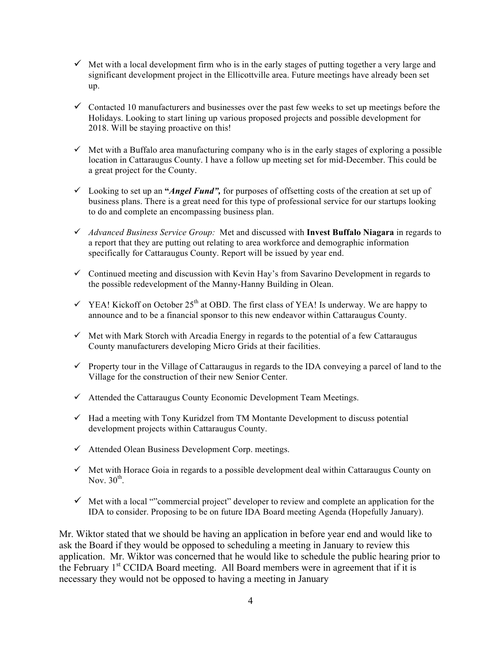- $\checkmark$  Met with a local development firm who is in the early stages of putting together a very large and significant development project in the Ellicottville area. Future meetings have already been set up.
- $\checkmark$  Contacted 10 manufacturers and businesses over the past few weeks to set up meetings before the Holidays. Looking to start lining up various proposed projects and possible development for 2018. Will be staying proactive on this!
- $\checkmark$  Met with a Buffalo area manufacturing company who is in the early stages of exploring a possible location in Cattaraugus County. I have a follow up meeting set for mid-December. This could be a great project for the County.
- ! Looking to set up an **"***Angel Fund",* for purposes of offsetting costs of the creation at set up of business plans. There is a great need for this type of professional service for our startups looking to do and complete an encompassing business plan.
- ! *Advanced Business Service Group:* Met and discussed with **Invest Buffalo Niagara** in regards to a report that they are putting out relating to area workforce and demographic information specifically for Cattaraugus County. Report will be issued by year end.
- $\checkmark$  Continued meeting and discussion with Kevin Hay's from Savarino Development in regards to the possible redevelopment of the Manny-Hanny Building in Olean.
- $\checkmark$  YEA! Kickoff on October 25<sup>th</sup> at OBD. The first class of YEA! Is underway. We are happy to announce and to be a financial sponsor to this new endeavor within Cattaraugus County.
- $\checkmark$  Met with Mark Storch with Arcadia Energy in regards to the potential of a few Cattaraugus County manufacturers developing Micro Grids at their facilities.
- $\checkmark$  Property tour in the Village of Cattaraugus in regards to the IDA conveying a parcel of land to the Village for the construction of their new Senior Center.
- $\checkmark$  Attended the Cattaraugus County Economic Development Team Meetings.
- $\checkmark$  Had a meeting with Tony Kuridzel from TM Montante Development to discuss potential development projects within Cattaraugus County.
- $\checkmark$  Attended Olean Business Development Corp. meetings.
- $\checkmark$  Met with Horace Goia in regards to a possible development deal within Cattaraugus County on Nov.  $30^{\text{th}}$ .
- $\checkmark$  Met with a local ""commercial project" developer to review and complete an application for the IDA to consider. Proposing to be on future IDA Board meeting Agenda (Hopefully January).

Mr. Wiktor stated that we should be having an application in before year end and would like to ask the Board if they would be opposed to scheduling a meeting in January to review this application. Mr. Wiktor was concerned that he would like to schedule the public hearing prior to the February  $1<sup>st</sup>$  CCIDA Board meeting. All Board members were in agreement that if it is necessary they would not be opposed to having a meeting in January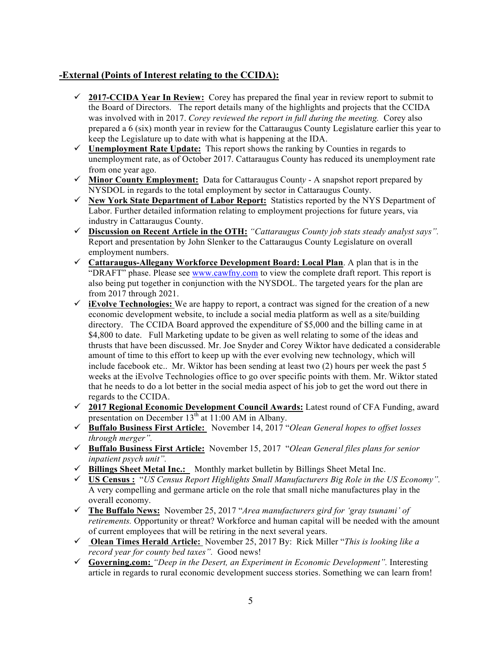### **-External (Points of Interest relating to the CCIDA):**

- $\checkmark$  2017-CCIDA Year In Review: Corey has prepared the final year in review report to submit to the Board of Directors. The report details many of the highlights and projects that the CCIDA was involved with in 2017. *Corey reviewed the report in full during the meeting.* Corey also prepared a 6 (six) month year in review for the Cattaraugus County Legislature earlier this year to keep the Legislature up to date with what is happening at the IDA.
- ! **Unemployment Rate Update:** This report shows the ranking by Counties in regards to unemployment rate, as of October 2017. Cattaraugus County has reduced its unemployment rate from one year ago.
- ! **Minor County Employment:** Data for Cattaraugus Count*y* A snapshot report prepared by NYSDOL in regards to the total employment by sector in Cattaraugus County.
- ! **New York State Department of Labor Report:** Statistics reported by the NYS Department of Labor. Further detailed information relating to employment projections for future years, via industry in Cattaraugus County.
- ! **Discussion on Recent Article in the OTH:** *"Cattaraugus County job stats steady analyst says".*  Report and presentation by John Slenker to the Cattaraugus County Legislature on overall employment numbers.
- ! **Cattaraugus-Allegany Workforce Development Board: Local Plan**. A plan that is in the "DRAFT" phase. Please see www.cawfny.com to view the complete draft report. This report is also being put together in conjunction with the NYSDOL. The targeted years for the plan are from 2017 through 2021.
- $\checkmark$  iEvolve Technologies: We are happy to report, a contract was signed for the creation of a new economic development website, to include a social media platform as well as a site/building directory. The CCIDA Board approved the expenditure of \$5,000 and the billing came in at \$4,800 to date. Full Marketing update to be given as well relating to some of the ideas and thrusts that have been discussed. Mr. Joe Snyder and Corey Wiktor have dedicated a considerable amount of time to this effort to keep up with the ever evolving new technology, which will include facebook etc.. Mr. Wiktor has been sending at least two (2) hours per week the past 5 weeks at the iEvolve Technologies office to go over specific points with them. Mr. Wiktor stated that he needs to do a lot better in the social media aspect of his job to get the word out there in regards to the CCIDA.
- ! **2017 Regional Economic Development Council Awards:** Latest round of CFA Funding, award presentation on December  $13<sup>th</sup>$  at 11:00 AM in Albany.
- ! **Buffalo Business First Article:** November 14, 2017 "*Olean General hopes to offset losses through merger".*
- ! **Buffalo Business First Article:** November 15, 2017 "*Olean General files plans for senior inpatient psych unit".*
- ! **Billings Sheet Metal Inc.:** Monthly market bulletin by Billings Sheet Metal Inc.
- ! **US Census :** "*US Census Report Highlights Small Manufacturers Big Role in the US Economy".*  A very compelling and germane article on the role that small niche manufactures play in the overall economy.
- ! **The Buffalo News:**November 25, 2017 "*Area manufacturers gird for 'gray tsunami' of retirements.* Opportunity or threat? Workforce and human capital will be needed with the amount of current employees that will be retiring in the next several years.
- ! **Olean Times Herald Article:** November 25, 2017 By: Rick Miller "*This is looking like a*  record year for county bed taxes". Good news!
- ! **Governing.com:** *"Deep in the Desert, an Experiment in Economic Development".* Interesting article in regards to rural economic development success stories. Something we can learn from!